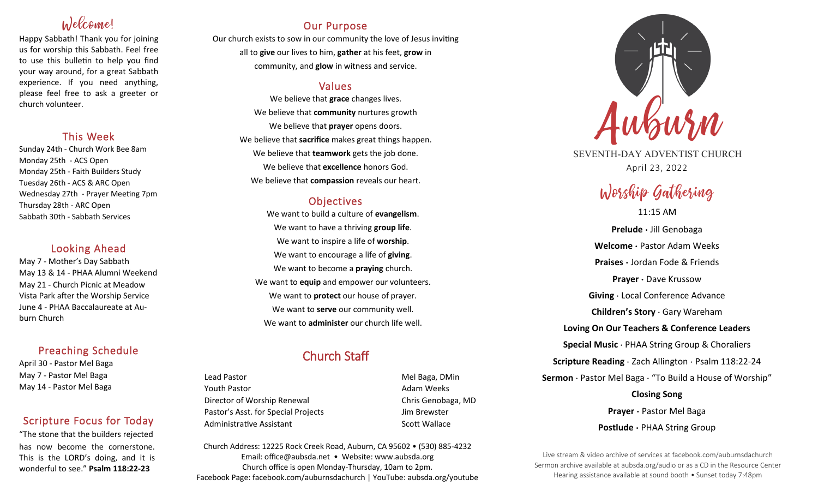# Welcome!

Happy Sabbath! Thank you for joining us for worship this Sabbath. Feel free to use this bulletin to help you find your way around, for a great Sabbath experience. If you need anything, please feel free to ask a greeter or church volunteer.

## This Week

Sunday 24th - Church Work Bee 8am Monday 25th - ACS Open Monday 25th - Faith Builders Study Tuesday 26th - ACS & ARC Open Wednesday 27th - Prayer Meeting 7pm Thursday 28th - ARC Open Sabbath 30th - Sabbath Services

## Looking Ahead

May 7 - Mother's Day Sabbath May 13 & 14 - PHAA Alumni Weekend May 21 - Church Picnic at Meadow Vista Park after the Worship Service June 4 - PHAA Baccalaureate at Auburn Church

## Preaching Schedule

April 30 - Pastor Mel Baga May 7 - Pastor Mel Baga May 14 - Pastor Mel Baga

## Scripture Focus for Today

"The stone that the builders rejected has now become the cornerstone. This is the LORD's doing, and it is wonderful to see." **Psalm 118:22-23**

## Our Purpose

Our church exists to sow in our community the love of Jesus inviting all to **give** our lives to him, **gather** at his feet, **grow** in community, and **glow** in witness and service.

## Values

We believe that **grace** changes lives. We believe that **community** nurtures growth We believe that **prayer** opens doors. We believe that **sacrifice** makes great things happen. We believe that **teamwork** gets the job done. We believe that **excellence** honors God. We believe that **compassion** reveals our heart.

## **Objectives**

We want to build a culture of **evangelism**. We want to have a thriving **group life**. We want to inspire a life of **worship**. We want to encourage a life of **giving**. We want to become a **praying** church. We want to **equip** and empower our volunteers. We want to **protect** our house of prayer. We want to **serve** our community well. We want to **administer** our church life well.

## Church Staff

Lead Pastor **Mel Baga, DMin** Youth Pastor **Adam Weeks Adam Weeks** Director of Worship Renewal **Chris Genobaga**, MD Pastor's Asst. for Special Projects Fig. 3.1 Jim Brewster Administrative Assistant National Controllery Scott Wallace

Church Address: 12225 Rock Creek Road, Auburn, CA 95602 • (530) 885-4232 Email: office@aubsda.net • Website: www.aubsda.org Church office is open Monday-Thursday, 10am to 2pm. Facebook Page: facebook.com/auburnsdachurch | YouTube: aubsda.org/youtube



SEVENTH-DAY ADVENTIST CHURCH April 23, 2022

# Worship Gathering

11:15 AM

**Prelude ·** Jill Genobaga **Welcome ·** Pastor Adam Weeks **Praises ·** Jordan Fode & Friends **Prayer ·** Dave Krussow **Giving** · Local Conference Advance **Children's Story** · Gary Wareham **Loving On Our Teachers & Conference Leaders Special Music** · PHAA String Group & Choraliers **Scripture Reading** · Zach Allington · Psalm 118:22-24 **Sermon** · Pastor Mel Baga · "To Build a House of Worship" **Closing Song Prayer ·** Pastor Mel Baga **Postlude ·** PHAA String Group

Live stream & video archive of services at facebook.com/auburnsdachurch Sermon archive available at aubsda.org/audio or as a CD in the Resource Center Hearing assistance available at sound booth • Sunset today 7:48pm